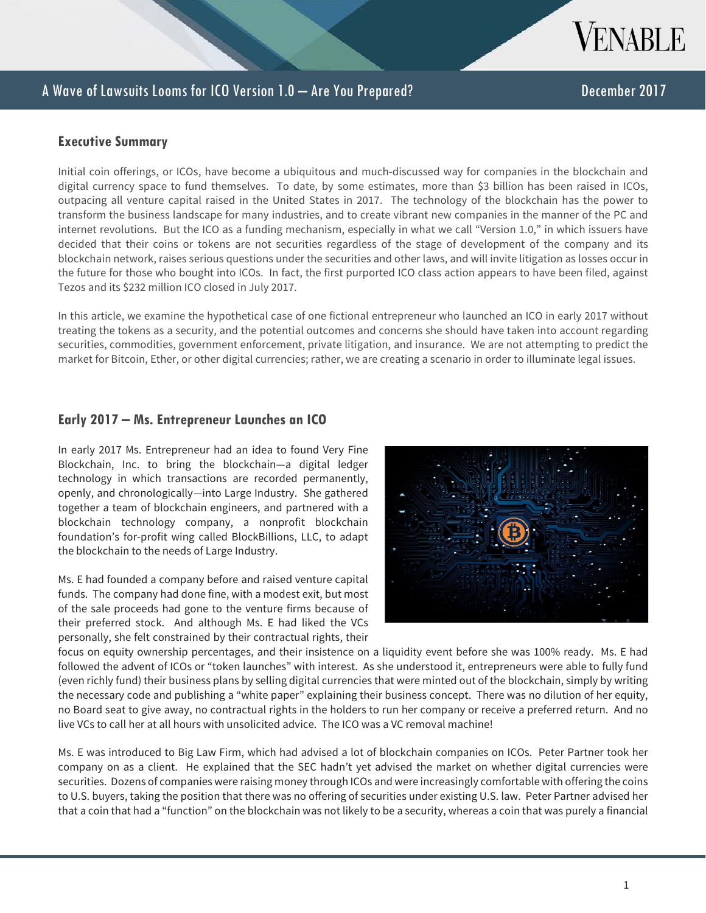

#### **Executive Summary**

Initial coin offerings, or ICOs, have become a ubiquitous and much-discussed way for companies in the blockchain and digital currency space to fund themselves. To date, by some estimates, more than \$3 billion has been raised in ICOs, outpacing all venture capital raised in the United States in 2017. The technology of the blockchain has the power to transform the business landscape for many industries, and to create vibrant new companies in the manner of the PC and internet revolutions. But the ICO as a funding mechanism, especially in what we call "Version 1.0," in which issuers have decided that their coins or tokens are not securities regardless of the stage of development of the company and its blockchain network, raises serious questions under the securities and other laws, and will invite litigation as losses occur in the future for those who bought into ICOs. In fact, the first purported ICO class action appears to have been filed, against Tezos and its \$232 million ICO closed in July 2017.

In this article, we examine the hypothetical case of one fictional entrepreneur who launched an ICO in early 2017 without treating the tokens as a security, and the potential outcomes and concerns she should have taken into account regarding securities, commodities, government enforcement, private litigation, and insurance. We are not attempting to predict the market for Bitcoin, Ether, or other digital currencies; rather, we are creating a scenario in order to illuminate legal issues.

#### **Early 2017 – Ms. Entrepreneur Launches an ICO**

In early 2017 Ms. Entrepreneur had an idea to found Very Fine Blockchain, Inc. to bring the blockchain—a digital ledger technology in which transactions are recorded permanently, openly, and chronologically—into Large Industry. She gathered together a team of blockchain engineers, and partnered with a blockchain technology company, a nonprofit blockchain foundation's for-profit wing called BlockBillions, LLC, to adapt the blockchain to the needs of Large Industry.

Ms. E had founded a company before and raised venture capital funds. The company had done fine, with a modest exit, but most of the sale proceeds had gone to the venture firms because of their preferred stock. And although Ms. E had liked the VCs personally, she felt constrained by their contractual rights, their



focus on equity ownership percentages, and their insistence on a liquidity event before she was 100% ready. Ms. E had followed the advent of ICOs or "token launches" with interest. As she understood it, entrepreneurs were able to fully fund (even richly fund) their business plans by selling digital currencies that were minted out of the blockchain, simply by writing the necessary code and publishing a "white paper" explaining their business concept. There was no dilution of her equity, no Board seat to give away, no contractual rights in the holders to run her company or receive a preferred return. And no live VCs to call her at all hours with unsolicited advice. The ICO was a VC removal machine!

Ms. E was introduced to Big Law Firm, which had advised a lot of blockchain companies on ICOs. Peter Partner took her company on as a client. He explained that the SEC hadn't yet advised the market on whether digital currencies were securities. Dozens of companies were raising money through ICOs and were increasingly comfortable with offering the coins to U.S. buyers, taking the position that there was no offering of securities under existing U.S. law. Peter Partner advised her that a coin that had a "function" on the blockchain was not likely to be a security, whereas a coin that was purely a financial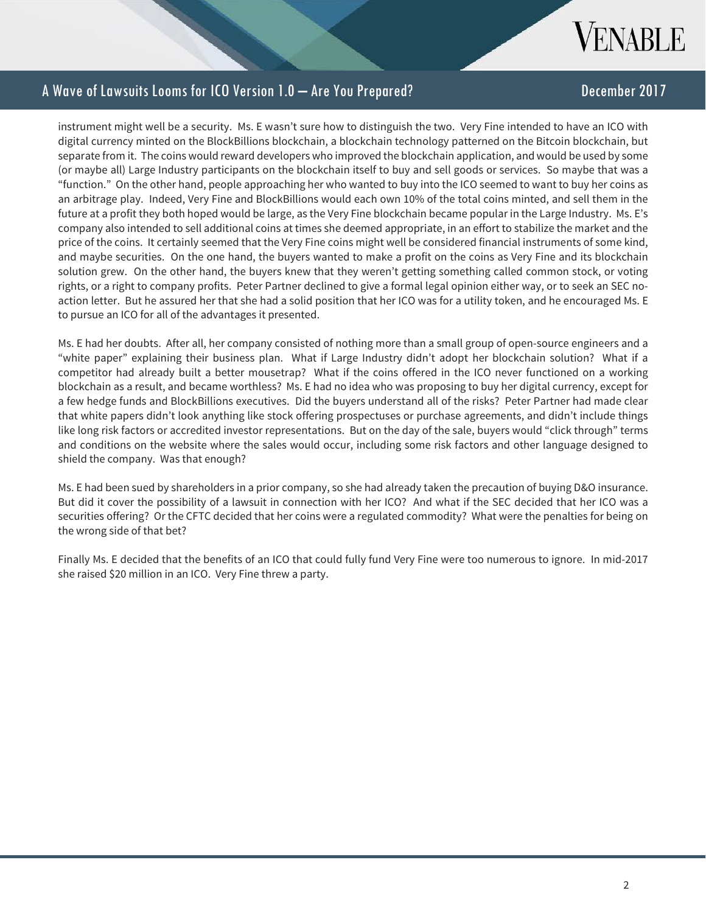

instrument might well be a security. Ms. E wasn't sure how to distinguish the two. Very Fine intended to have an ICO with digital currency minted on the BlockBillions blockchain, a blockchain technology patterned on the Bitcoin blockchain, but separate from it. The coins would reward developers who improved the blockchain application, and would be used by some (or maybe all) Large Industry participants on the blockchain itself to buy and sell goods or services. So maybe that was a "function." On the other hand, people approaching her who wanted to buy into the ICO seemed to want to buy her coins as an arbitrage play. Indeed, Very Fine and BlockBillions would each own 10% of the total coins minted, and sell them in the future at a profit they both hoped would be large, as the Very Fine blockchain became popular in the Large Industry. Ms. E's company also intended to sell additional coins at times she deemed appropriate, in an effort to stabilize the market and the price of the coins. It certainly seemed that the Very Fine coins might well be considered financial instruments of some kind, and maybe securities. On the one hand, the buyers wanted to make a profit on the coins as Very Fine and its blockchain solution grew. On the other hand, the buyers knew that they weren't getting something called common stock, or voting rights, or a right to company profits. Peter Partner declined to give a formal legal opinion either way, or to seek an SEC noaction letter. But he assured her that she had a solid position that her ICO was for a utility token, and he encouraged Ms. E to pursue an ICO for all of the advantages it presented.

Ms. E had her doubts. After all, her company consisted of nothing more than a small group of open-source engineers and a "white paper" explaining their business plan. What if Large Industry didn't adopt her blockchain solution? What if a competitor had already built a better mousetrap? What if the coins offered in the ICO never functioned on a working blockchain as a result, and became worthless? Ms. E had no idea who was proposing to buy her digital currency, except for a few hedge funds and BlockBillions executives. Did the buyers understand all of the risks? Peter Partner had made clear that white papers didn't look anything like stock offering prospectuses or purchase agreements, and didn't include things like long risk factors or accredited investor representations. But on the day of the sale, buyers would "click through" terms and conditions on the website where the sales would occur, including some risk factors and other language designed to shield the company. Was that enough?

Ms. E had been sued by shareholders in a prior company, so she had already taken the precaution of buying D&O insurance. But did it cover the possibility of a lawsuit in connection with her ICO? And what if the SEC decided that her ICO was a securities offering? Or the CFTC decided that her coins were a regulated commodity? What were the penalties for being on the wrong side of that bet?

Finally Ms. E decided that the benefits of an ICO that could fully fund Very Fine were too numerous to ignore. In mid-2017 she raised \$20 million in an ICO. Very Fine threw a party.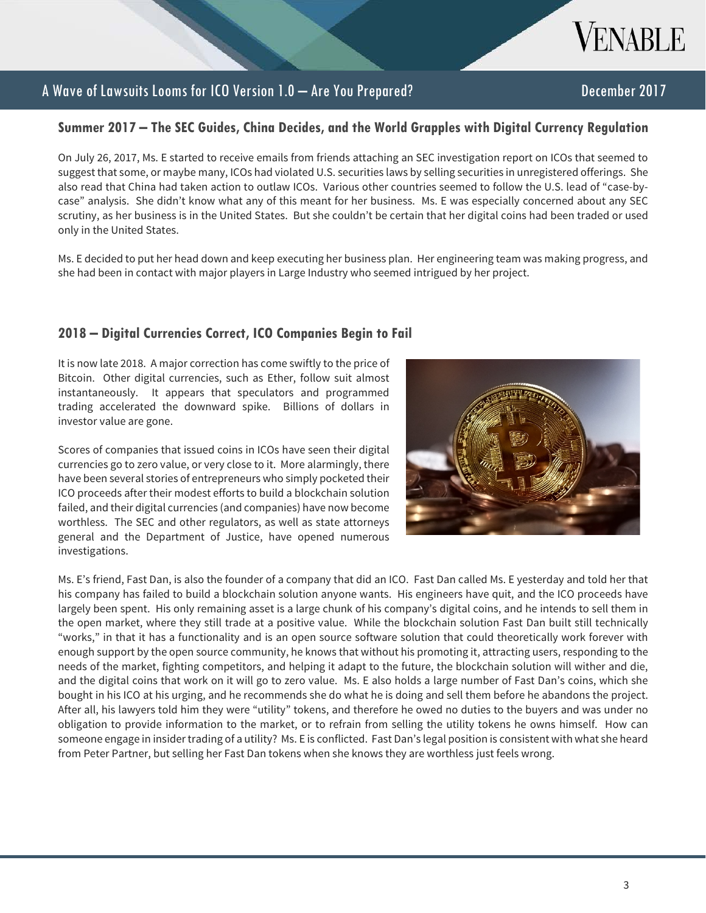

#### **Summer 2017 – The SEC Guides, China Decides, and the World Grapples with Digital Currency Regulation**

On July 26, 2017, Ms. E started to receive emails from friends attaching an SEC investigation report on ICOs that seemed to suggest that some, or maybe many, ICOs had violated U.S. securities laws by selling securities in unregistered offerings. She also read that China had taken action to outlaw ICOs. Various other countries seemed to follow the U.S. lead of "case-bycase" analysis. She didn't know what any of this meant for her business. Ms. E was especially concerned about any SEC scrutiny, as her business is in the United States. But she couldn't be certain that her digital coins had been traded or used only in the United States.

Ms. E decided to put her head down and keep executing her business plan. Her engineering team was making progress, and she had been in contact with major players in Large Industry who seemed intrigued by her project.

## **2018 – Digital Currencies Correct, ICO Companies Begin to Fail**

It is now late 2018. A major correction has come swiftly to the price of Bitcoin. Other digital currencies, such as Ether, follow suit almost instantaneously. It appears that speculators and programmed trading accelerated the downward spike. Billions of dollars in investor value are gone.

Scores of companies that issued coins in ICOs have seen their digital currencies go to zero value, or very close to it. More alarmingly, there have been several stories of entrepreneurs who simply pocketed their ICO proceeds after their modest efforts to build a blockchain solution failed, and their digital currencies (and companies) have now become worthless. The SEC and other regulators, as well as state attorneys general and the Department of Justice, have opened numerous investigations.



Ms. E's friend, Fast Dan, is also the founder of a company that did an ICO. Fast Dan called Ms. E yesterday and told her that his company has failed to build a blockchain solution anyone wants. His engineers have quit, and the ICO proceeds have largely been spent. His only remaining asset is a large chunk of his company's digital coins, and he intends to sell them in the open market, where they still trade at a positive value. While the blockchain solution Fast Dan built still technically "works," in that it has a functionality and is an open source software solution that could theoretically work forever with enough support by the open source community, he knows that without his promoting it, attracting users, responding to the needs of the market, fighting competitors, and helping it adapt to the future, the blockchain solution will wither and die, and the digital coins that work on it will go to zero value. Ms. E also holds a large number of Fast Dan's coins, which she bought in his ICO at his urging, and he recommends she do what he is doing and sell them before he abandons the project. After all, his lawyers told him they were "utility" tokens, and therefore he owed no duties to the buyers and was under no obligation to provide information to the market, or to refrain from selling the utility tokens he owns himself. How can someone engage in insider trading of a utility? Ms. E is conflicted. Fast Dan's legal position is consistent with what she heard from Peter Partner, but selling her Fast Dan tokens when she knows they are worthless just feels wrong.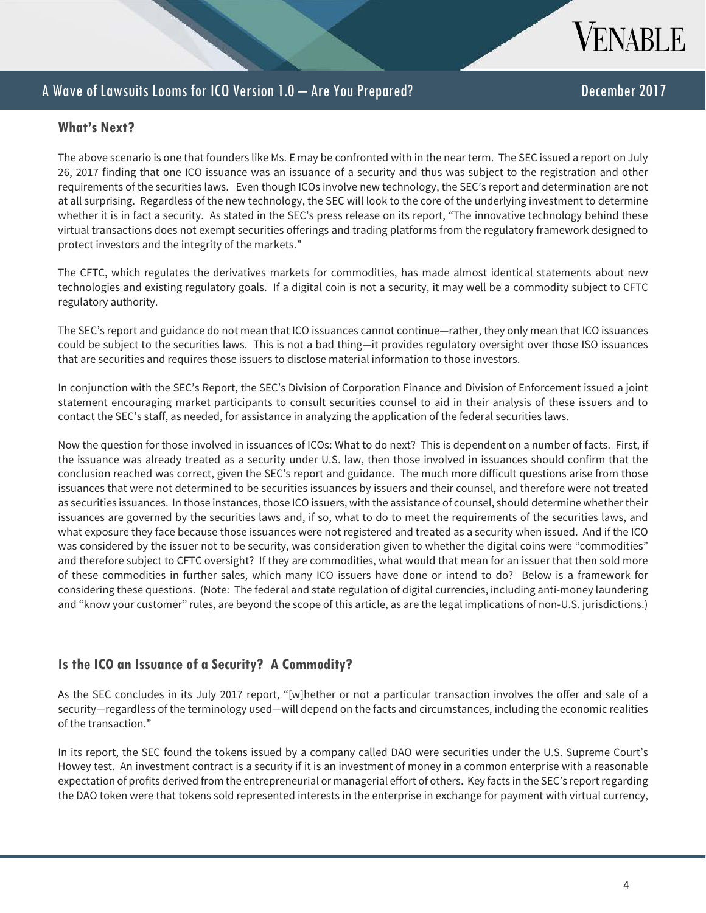

#### **What's Next?**

The above scenario is one that founders like Ms. E may be confronted with in the near term. The SEC issued a report on July 26, 2017 finding that one ICO issuance was an issuance of a security and thus was subject to the registration and other requirements of the securities laws. Even though ICOs involve new technology, the SEC's report and determination are not at all surprising. Regardless of the new technology, the SEC will look to the core of the underlying investment to determine whether it is in fact a security. As stated in the SEC's press release on its report, "The innovative technology behind these virtual transactions does not exempt securities offerings and trading platforms from the regulatory framework designed to protect investors and the integrity of the markets."

The CFTC, which regulates the derivatives markets for commodities, has made almost identical statements about new technologies and existing regulatory goals. If a digital coin is not a security, it may well be a commodity subject to CFTC regulatory authority.

The SEC's report and guidance do not mean that ICO issuances cannot continue—rather, they only mean that ICO issuances could be subject to the securities laws. This is not a bad thing—it provides regulatory oversight over those ISO issuances that are securities and requires those issuers to disclose material information to those investors.

In conjunction with the SEC's Report, the SEC's Division of Corporation Finance and Division of Enforcement issued a joint statement encouraging market participants to consult securities counsel to aid in their analysis of these issuers and to contact the SEC's staff, as needed, for assistance in analyzing the application of the federal securities laws.

Now the question for those involved in issuances of ICOs: What to do next? This is dependent on a number of facts. First, if the issuance was already treated as a security under U.S. law, then those involved in issuances should confirm that the conclusion reached was correct, given the SEC's report and guidance. The much more difficult questions arise from those issuances that were not determined to be securities issuances by issuers and their counsel, and therefore were not treated as securities issuances. In those instances, those ICO issuers, with the assistance of counsel, should determine whether their issuances are governed by the securities laws and, if so, what to do to meet the requirements of the securities laws, and what exposure they face because those issuances were not registered and treated as a security when issued. And if the ICO was considered by the issuer not to be security, was consideration given to whether the digital coins were "commodities" and therefore subject to CFTC oversight? If they are commodities, what would that mean for an issuer that then sold more of these commodities in further sales, which many ICO issuers have done or intend to do? Below is a framework for considering these questions. (Note: The federal and state regulation of digital currencies, including anti-money laundering and "know your customer" rules, are beyond the scope of this article, as are the legal implications of non-U.S. jurisdictions.)

## **Is the ICO an Issuance of a Security? A Commodity?**

As the SEC concludes in its July 2017 report, "[w]hether or not a particular transaction involves the offer and sale of a security—regardless of the terminology used—will depend on the facts and circumstances, including the economic realities of the transaction."

In its report, the SEC found the tokens issued by a company called DAO were securities under the U.S. Supreme Court's Howey test. An investment contract is a security if it is an investment of money in a common enterprise with a reasonable expectation of profits derived from the entrepreneurial or managerial effort of others. Key facts in the SEC's report regarding the DAO token were that tokens sold represented interests in the enterprise in exchange for payment with virtual currency,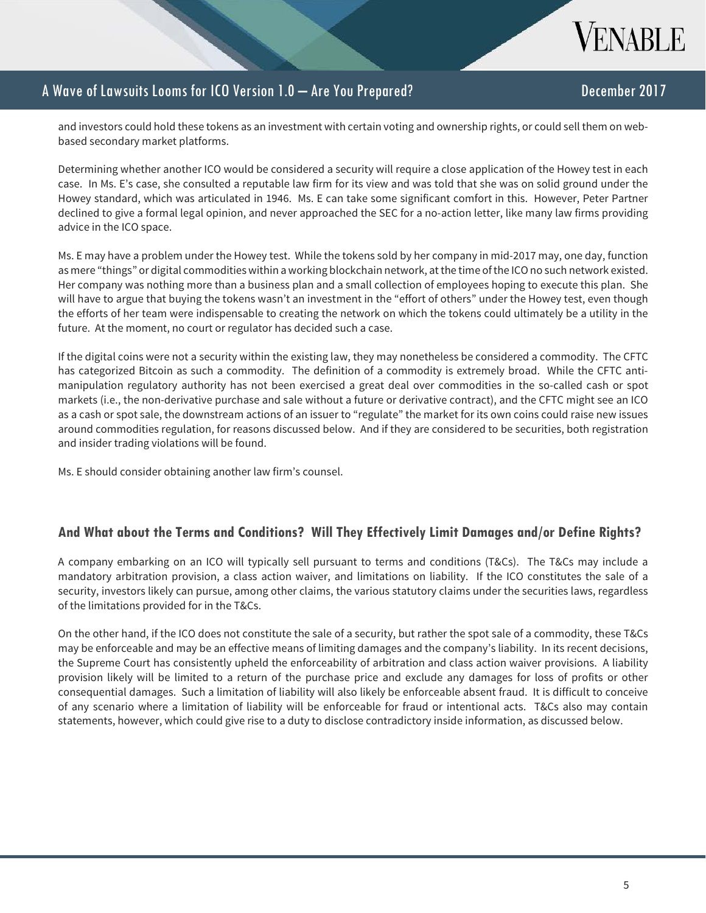

and investors could hold these tokens as an investment with certain voting and ownership rights, or could sell them on webbased secondary market platforms.

Determining whether another ICO would be considered a security will require a close application of the Howey test in each case. In Ms. E's case, she consulted a reputable law firm for its view and was told that she was on solid ground under the Howey standard, which was articulated in 1946. Ms. E can take some significant comfort in this. However, Peter Partner declined to give a formal legal opinion, and never approached the SEC for a no-action letter, like many law firms providing advice in the ICO space.

Ms. E may have a problem under the Howey test. While the tokens sold by her company in mid-2017 may, one day, function as mere "things" or digital commodities within a working blockchain network, at the time of the ICO no such network existed. Her company was nothing more than a business plan and a small collection of employees hoping to execute this plan. She will have to argue that buying the tokens wasn't an investment in the "effort of others" under the Howey test, even though the efforts of her team were indispensable to creating the network on which the tokens could ultimately be a utility in the future. At the moment, no court or regulator has decided such a case.

If the digital coins were not a security within the existing law, they may nonetheless be considered a commodity. The CFTC has categorized Bitcoin as such a commodity. The definition of a commodity is extremely broad. While the CFTC antimanipulation regulatory authority has not been exercised a great deal over commodities in the so-called cash or spot markets (i.e., the non-derivative purchase and sale without a future or derivative contract), and the CFTC might see an ICO as a cash or spot sale, the downstream actions of an issuer to "regulate" the market for its own coins could raise new issues around commodities regulation, for reasons discussed below. And if they are considered to be securities, both registration and insider trading violations will be found.

Ms. E should consider obtaining another law firm's counsel.

## **And What about the Terms and Conditions? Will They Effectively Limit Damages and/or Define Rights?**

A company embarking on an ICO will typically sell pursuant to terms and conditions (T&Cs). The T&Cs may include a mandatory arbitration provision, a class action waiver, and limitations on liability. If the ICO constitutes the sale of a security, investors likely can pursue, among other claims, the various statutory claims under the securities laws, regardless of the limitations provided for in the T&Cs.

On the other hand, if the ICO does not constitute the sale of a security, but rather the spot sale of a commodity, these T&Cs may be enforceable and may be an effective means of limiting damages and the company's liability. In its recent decisions, the Supreme Court has consistently upheld the enforceability of arbitration and class action waiver provisions. A liability provision likely will be limited to a return of the purchase price and exclude any damages for loss of profits or other consequential damages. Such a limitation of liability will also likely be enforceable absent fraud. It is difficult to conceive of any scenario where a limitation of liability will be enforceable for fraud or intentional acts. T&Cs also may contain statements, however, which could give rise to a duty to disclose contradictory inside information, as discussed below.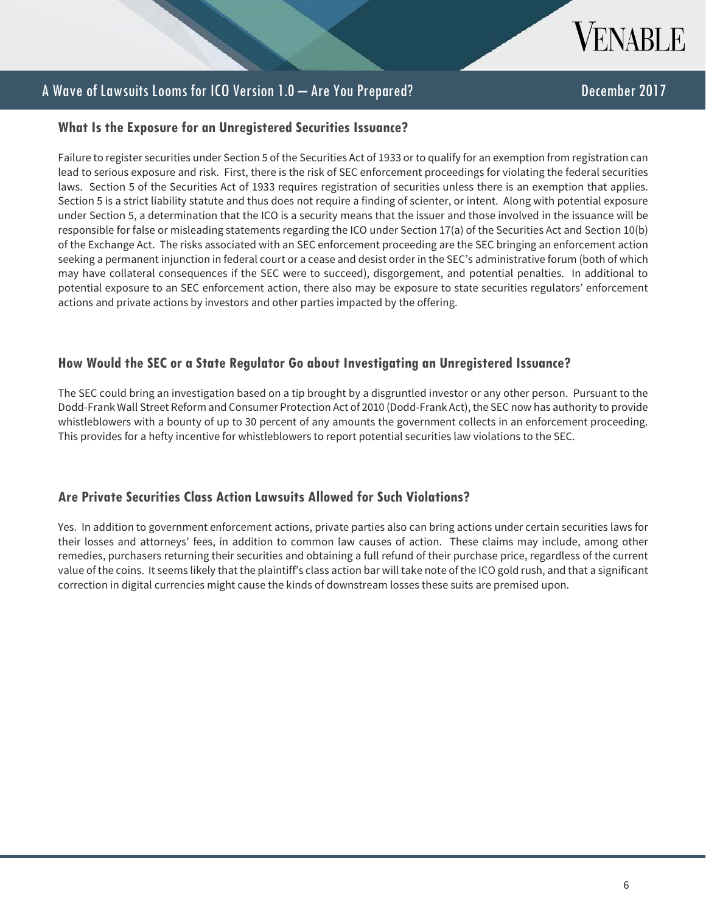

#### **What Is the Exposure for an Unregistered Securities Issuance?**

Failure to register securities under Section 5 of the Securities Act of 1933 or to qualify for an exemption from registration can lead to serious exposure and risk. First, there is the risk of SEC enforcement proceedings for violating the federal securities laws. Section 5 of the Securities Act of 1933 requires registration of securities unless there is an exemption that applies. Section 5 is a strict liability statute and thus does not require a finding of scienter, or intent. Along with potential exposure under Section 5, a determination that the ICO is a security means that the issuer and those involved in the issuance will be responsible for false or misleading statements regarding the ICO under Section 17(a) of the Securities Act and Section 10(b) of the Exchange Act. The risks associated with an SEC enforcement proceeding are the SEC bringing an enforcement action seeking a permanent injunction in federal court or a cease and desist order in the SEC's administrative forum (both of which may have collateral consequences if the SEC were to succeed), disgorgement, and potential penalties. In additional to potential exposure to an SEC enforcement action, there also may be exposure to state securities regulators' enforcement actions and private actions by investors and other parties impacted by the offering.

#### **How Would the SEC or a State Regulator Go about Investigating an Unregistered Issuance?**

The SEC could bring an investigation based on a tip brought by a disgruntled investor or any other person. Pursuant to the Dodd-Frank Wall Street Reform and Consumer Protection Act of 2010 (Dodd-Frank Act), the SEC now has authority to provide whistleblowers with a bounty of up to 30 percent of any amounts the government collects in an enforcement proceeding. This provides for a hefty incentive for whistleblowers to report potential securities law violations to the SEC.

## **Are Private Securities Class Action Lawsuits Allowed for Such Violations?**

L

Yes. In addition to government enforcement actions, private parties also can bring actions under certain securities laws for their losses and attorneys' fees, in addition to common law causes of action. These claims may include, among other remedies, purchasers returning their securities and obtaining a full refund of their purchase price, regardless of the current value of the coins. It seems likely that the plaintiff's class action bar will take note of the ICO gold rush, and that a significant correction in digital currencies might cause the kinds of downstream losses these suits are premised upon.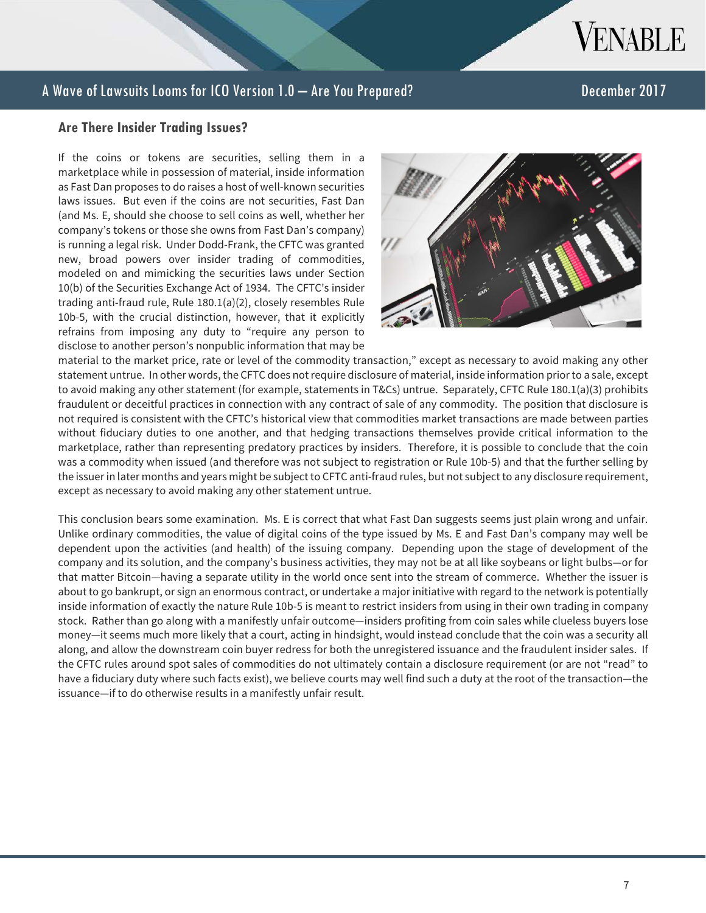

#### **Are There Insider Trading Issues?**

If the coins or tokens are securities, selling them in a marketplace while in possession of material, inside information as Fast Dan proposes to do raises a host of well-known securities laws issues. But even if the coins are not securities, Fast Dan (and Ms. E, should she choose to sell coins as well, whether her company's tokens or those she owns from Fast Dan's company) is running a legal risk. Under Dodd-Frank, the CFTC was granted new, broad powers over insider trading of commodities, modeled on and mimicking the securities laws under Section 10(b) of the Securities Exchange Act of 1934. The CFTC's insider trading anti-fraud rule, Rule 180.1(a)(2), closely resembles Rule 10b-5, with the crucial distinction, however, that it explicitly refrains from imposing any duty to "require any person to disclose to another person's nonpublic information that may be



material to the market price, rate or level of the commodity transaction," except as necessary to avoid making any other statement untrue. In other words, the CFTC does not require disclosure of material, inside information prior to a sale, except to avoid making any other statement (for example, statements in T&Cs) untrue. Separately, CFTC Rule 180.1(a)(3) prohibits fraudulent or deceitful practices in connection with any contract of sale of any commodity. The position that disclosure is not required is consistent with the CFTC's historical view that commodities market transactions are made between parties without fiduciary duties to one another, and that hedging transactions themselves provide critical information to the marketplace, rather than representing predatory practices by insiders. Therefore, it is possible to conclude that the coin was a commodity when issued (and therefore was not subject to registration or Rule 10b-5) and that the further selling by the issuer in later months and years might be subject to CFTC anti-fraud rules, but not subject to any disclosure requirement, except as necessary to avoid making any other statement untrue.

This conclusion bears some examination. Ms. E is correct that what Fast Dan suggests seems just plain wrong and unfair. Unlike ordinary commodities, the value of digital coins of the type issued by Ms. E and Fast Dan's company may well be dependent upon the activities (and health) of the issuing company. Depending upon the stage of development of the company and its solution, and the company's business activities, they may not be at all like soybeans or light bulbs—or for that matter Bitcoin—having a separate utility in the world once sent into the stream of commerce. Whether the issuer is about to go bankrupt, or sign an enormous contract, or undertake a major initiative with regard to the network is potentially inside information of exactly the nature Rule 10b-5 is meant to restrict insiders from using in their own trading in company stock. Rather than go along with a manifestly unfair outcome—insiders profiting from coin sales while clueless buyers lose money—it seems much more likely that a court, acting in hindsight, would instead conclude that the coin was a security all along, and allow the downstream coin buyer redress for both the unregistered issuance and the fraudulent insider sales. If the CFTC rules around spot sales of commodities do not ultimately contain a disclosure requirement (or are not "read" to have a fiduciary duty where such facts exist), we believe courts may well find such a duty at the root of the transaction—the issuance—if to do otherwise results in a manifestly unfair result.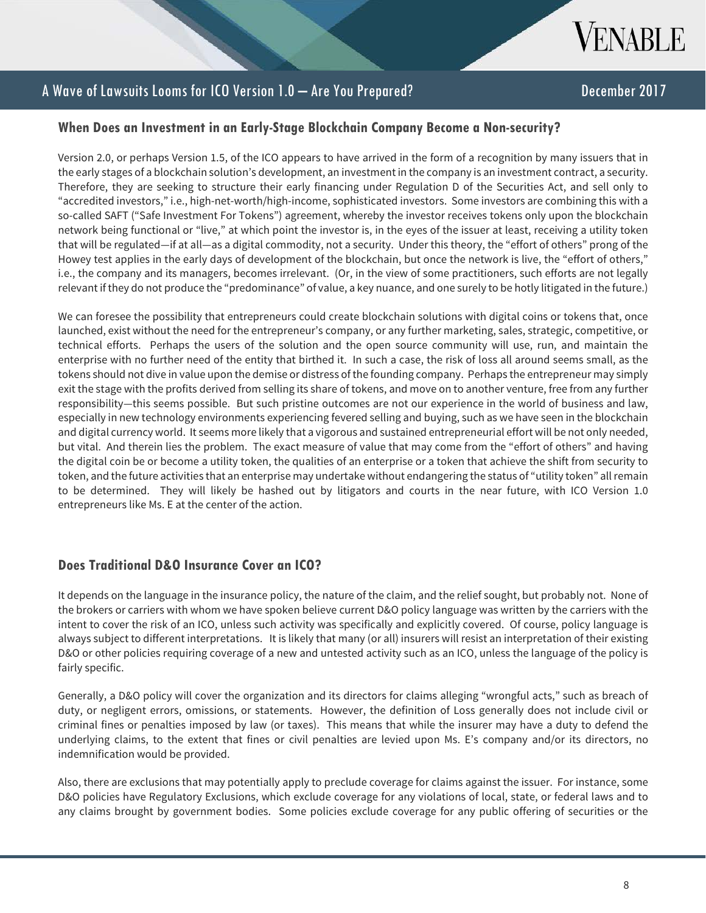

## **When Does an Investment in an Early-Stage Blockchain Company Become a Non-security?**

Version 2.0, or perhaps Version 1.5, of the ICO appears to have arrived in the form of a recognition by many issuers that in the early stages of a blockchain solution's development, an investment in the company is an investment contract, a security. Therefore, they are seeking to structure their early financing under Regulation D of the Securities Act, and sell only to "accredited investors," i.e., high-net-worth/high-income, sophisticated investors. Some investors are combining this with a so-called SAFT ("Safe Investment For Tokens") agreement, whereby the investor receives tokens only upon the blockchain network being functional or "live," at which point the investor is, in the eyes of the issuer at least, receiving a utility token that will be regulated—if at all—as a digital commodity, not a security. Under this theory, the "effort of others" prong of the Howey test applies in the early days of development of the blockchain, but once the network is live, the "effort of others," i.e., the company and its managers, becomes irrelevant. (Or, in the view of some practitioners, such efforts are not legally relevant if they do not produce the "predominance" of value, a key nuance, and one surely to be hotly litigated in the future.)

We can foresee the possibility that entrepreneurs could create blockchain solutions with digital coins or tokens that, once launched, exist without the need for the entrepreneur's company, or any further marketing, sales, strategic, competitive, or technical efforts. Perhaps the users of the solution and the open source community will use, run, and maintain the enterprise with no further need of the entity that birthed it. In such a case, the risk of loss all around seems small, as the tokens should not dive in value upon the demise or distress of the founding company. Perhaps the entrepreneur may simply exit the stage with the profits derived from selling its share of tokens, and move on to another venture, free from any further responsibility—this seems possible. But such pristine outcomes are not our experience in the world of business and law, especially in new technology environments experiencing fevered selling and buying, such as we have seen in the blockchain and digital currency world. It seems more likely that a vigorous and sustained entrepreneurial effort will be not only needed, but vital. And therein lies the problem. The exact measure of value that may come from the "effort of others" and having the digital coin be or become a utility token, the qualities of an enterprise or a token that achieve the shift from security to token, and the future activities that an enterprise may undertake without endangering the status of "utility token" all remain to be determined. They will likely be hashed out by litigators and courts in the near future, with ICO Version 1.0 entrepreneurs like Ms. E at the center of the action.

## **Does Traditional D&O Insurance Cover an ICO?**

It depends on the language in the insurance policy, the nature of the claim, and the relief sought, but probably not. None of the brokers or carriers with whom we have spoken believe current D&O policy language was written by the carriers with the intent to cover the risk of an ICO, unless such activity was specifically and explicitly covered. Of course, policy language is always subject to different interpretations. It is likely that many (or all) insurers will resist an interpretation of their existing D&O or other policies requiring coverage of a new and untested activity such as an ICO, unless the language of the policy is fairly specific.

Generally, a D&O policy will cover the organization and its directors for claims alleging "wrongful acts," such as breach of duty, or negligent errors, omissions, or statements. However, the definition of Loss generally does not include civil or criminal fines or penalties imposed by law (or taxes). This means that while the insurer may have a duty to defend the underlying claims, to the extent that fines or civil penalties are levied upon Ms. E's company and/or its directors, no indemnification would be provided.

Also, there are exclusions that may potentially apply to preclude coverage for claims against the issuer. For instance, some D&O policies have Regulatory Exclusions, which exclude coverage for any violations of local, state, or federal laws and to any claims brought by government bodies. Some policies exclude coverage for any public offering of securities or the